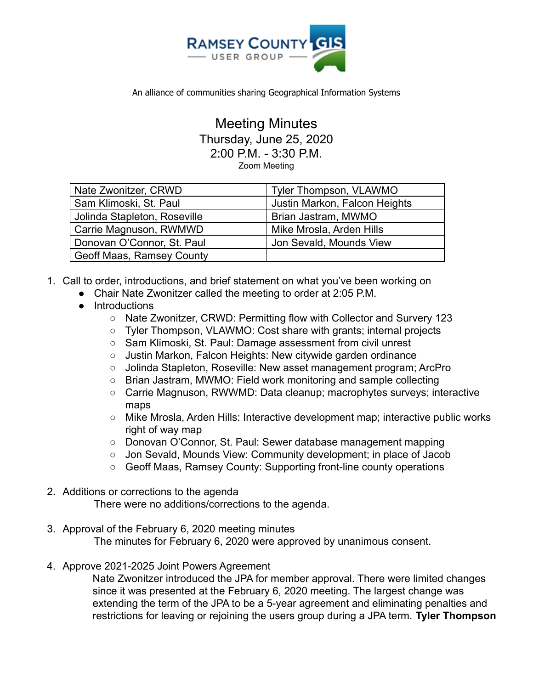

An alliance of communities sharing Geographical Information Systems

## Meeting Minutes Thursday, June 25, 2020 2:00 P.M. - 3:30 P.M.

Zoom Meeting

| Nate Zwonitzer, CRWD             | Tyler Thompson, VLAWMO        |
|----------------------------------|-------------------------------|
| Sam Klimoski, St. Paul           | Justin Markon, Falcon Heights |
| Jolinda Stapleton, Roseville     | Brian Jastram, MWMO           |
| Carrie Magnuson, RWMWD           | Mike Mrosla, Arden Hills      |
| Donovan O'Connor, St. Paul       | Jon Sevald, Mounds View       |
| <b>Geoff Maas, Ramsey County</b> |                               |

- 1. Call to order, introductions, and brief statement on what you've been working on
	- Chair Nate Zwonitzer called the meeting to order at 2:05 P.M.
	- Introductions
		- Nate Zwonitzer, CRWD: Permitting flow with Collector and Survery 123
		- Tyler Thompson, VLAWMO: Cost share with grants; internal projects
		- Sam Klimoski, St. Paul: Damage assessment from civil unrest
		- Justin Markon, Falcon Heights: New citywide garden ordinance
		- Jolinda Stapleton, Roseville: New asset management program; ArcPro
		- Brian Jastram, MWMO: Field work monitoring and sample collecting
		- Carrie Magnuson, RWWMD: Data cleanup; macrophytes surveys; interactive maps
		- Mike Mrosla, Arden Hills: Interactive development map; interactive public works right of way map
		- Donovan O'Connor, St. Paul: Sewer database management mapping
		- Jon Sevald, Mounds View: Community development; in place of Jacob
		- Geoff Maas, Ramsey County: Supporting front-line county operations
- 2. Additions or corrections to the agenda There were no additions/corrections to the agenda.
- 3. Approval of the February 6, 2020 meeting minutes The minutes for February 6, 2020 were approved by unanimous consent.
- 4. Approve 2021-2025 Joint Powers Agreement

Nate Zwonitzer introduced the JPA for member approval. There were limited changes since it was presented at the February 6, 2020 meeting. The largest change was extending the term of the JPA to be a 5-year agreement and eliminating penalties and restrictions for leaving or rejoining the users group during a JPA term. **Tyler Thompson**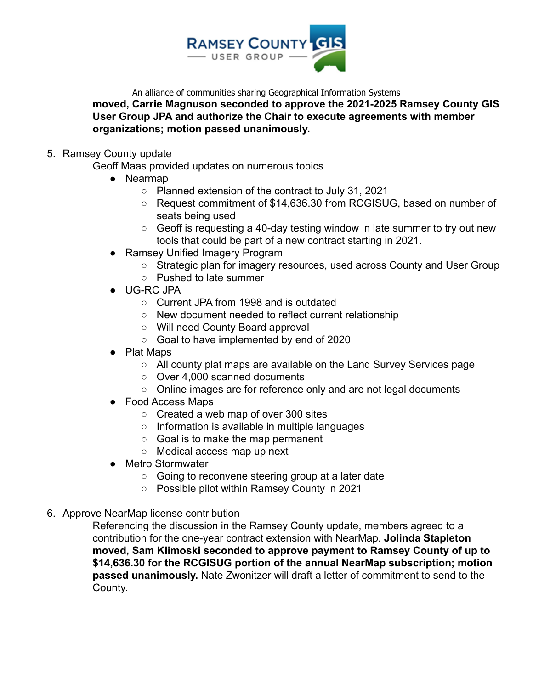

An alliance of communities sharing Geographical Information Systems

**moved, Carrie Magnuson seconded to approve the 2021-2025 Ramsey County GIS User Group JPA and authorize the Chair to execute agreements with member organizations; motion passed unanimously.**

## 5. Ramsey County update

Geoff Maas provided updates on numerous topics

- Nearmap
	- Planned extension of the contract to July 31, 2021
	- Request commitment of \$14,636.30 from RCGISUG, based on number of seats being used
	- Geoff is requesting a 40-day testing window in late summer to try out new tools that could be part of a new contract starting in 2021.
- Ramsey Unified Imagery Program
	- Strategic plan for imagery resources, used across County and User Group
	- Pushed to late summer
- UG-RC JPA
	- Current JPA from 1998 and is outdated
	- New document needed to reflect current relationship
	- Will need County Board approval
	- Goal to have implemented by end of 2020
- Plat Maps
	- All county plat maps are available on the Land Survey Services page
	- Over 4,000 scanned documents
	- Online images are for reference only and are not legal documents
- Food Access Maps
	- Created a web map of over 300 sites
	- Information is available in multiple languages
	- Goal is to make the map permanent
	- Medical access map up next
- Metro Stormwater
	- Going to reconvene steering group at a later date
	- Possible pilot within Ramsey County in 2021
- 6. Approve NearMap license contribution

Referencing the discussion in the Ramsey County update, members agreed to a contribution for the one-year contract extension with NearMap. **Jolinda Stapleton moved, Sam Klimoski seconded to approve payment to Ramsey County of up to \$14,636.30 for the RCGISUG portion of the annual NearMap subscription; motion passed unanimously.** Nate Zwonitzer will draft a letter of commitment to send to the County.